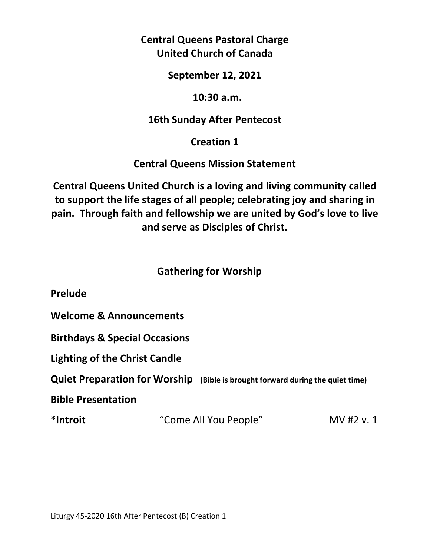# **Central Queens Pastoral Charge United Church of Canada**

#### **September 12, 2021**

#### **10:30 a.m.**

## **16th Sunday After Pentecost**

## **Creation 1**

### **Central Queens Mission Statement**

**Central Queens United Church is a loving and living community called to support the life stages of all people; celebrating joy and sharing in pain. Through faith and fellowship we are united by God's love to live and serve as Disciples of Christ.**

## **Gathering for Worship**

**Prelude** 

**Welcome & Announcements** 

**Birthdays & Special Occasions** 

**Lighting of the Christ Candle** 

**Quiet Preparation for Worship (Bible is brought forward during the quiet time)**

**Bible Presentation** 

**\*Introit** "Come All You People" MV #2 v. 1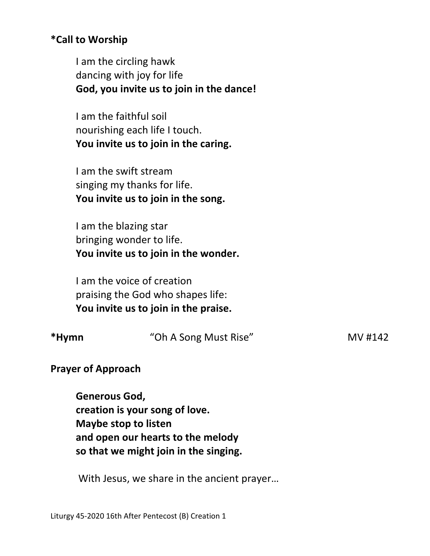### **\*Call to Worship**

 I am the circling hawk dancing with joy for life **God, you invite us to join in the dance!** 

I am the faithful soil nourishing each life I touch. **You invite us to join in the caring.** 

 I am the swift stream singing my thanks for life. **You invite us to join in the song.** 

 I am the blazing star bringing wonder to life. **You invite us to join in the wonder.** 

 I am the voice of creation praising the God who shapes life: **You invite us to join in the praise.** 

| *Hymn | "Oh A Song Must Rise" | MV #142 |
|-------|-----------------------|---------|
|       |                       |         |

**Prayer of Approach** 

 **Generous God, creation is your song of love. Maybe stop to listen and open our hearts to the melody so that we might join in the singing.** 

With Jesus, we share in the ancient prayer…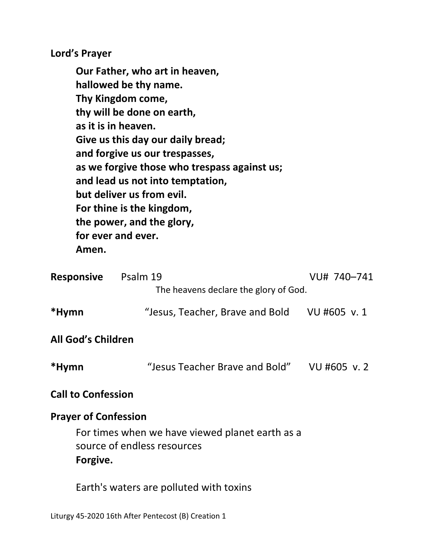**Lord's Prayer** 

**Our Father, who art in heaven, hallowed be thy name. Thy Kingdom come, thy will be done on earth, as it is in heaven. Give us this day our daily bread; and forgive us our trespasses, as we forgive those who trespass against us; and lead us not into temptation, but deliver us from evil. For thine is the kingdom, the power, and the glory, for ever and ever. Amen.** 

| <b>Responsive</b>           | Psalm 19<br>The heavens declare the glory of God.                              | VU# 740-741  |
|-----------------------------|--------------------------------------------------------------------------------|--------------|
| *Hymn                       | "Jesus, Teacher, Brave and Bold                                                | VU #605 v. 1 |
| <b>All God's Children</b>   |                                                                                |              |
| *Hymn                       | "Jesus Teacher Brave and Bold"                                                 | VU #605 v.2  |
| <b>Call to Confession</b>   |                                                                                |              |
| <b>Prayer of Confession</b> |                                                                                |              |
| Forgive.                    | For times when we have viewed planet earth as a<br>source of endless resources |              |
|                             | Earth's waters are polluted with toxins                                        |              |

Liturgy 45-2020 16th After Pentecost (B) Creation 1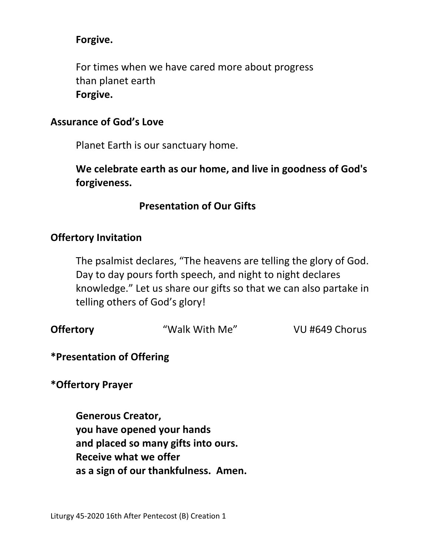### **Forgive.**

 For times when we have cared more about progress than planet earth **Forgive.** 

#### **Assurance of God's Love**

Planet Earth is our sanctuary home.

**We celebrate earth as our home, and live in goodness of God's forgiveness.** 

# **Presentation of Our Gifts**

### **Offertory Invitation**

 The psalmist declares, "The heavens are telling the glory of God. Day to day pours forth speech, and night to night declares knowledge." Let us share our gifts so that we can also partake in telling others of God's glory!

| <b>Offertory</b> | "Walk With Me" | VU #649 Chorus |
|------------------|----------------|----------------|
|                  |                |                |

### **\*Presentation of Offering**

**\*Offertory Prayer** 

**Generous Creator, you have opened your hands and placed so many gifts into ours. Receive what we offer as a sign of our thankfulness. Amen.**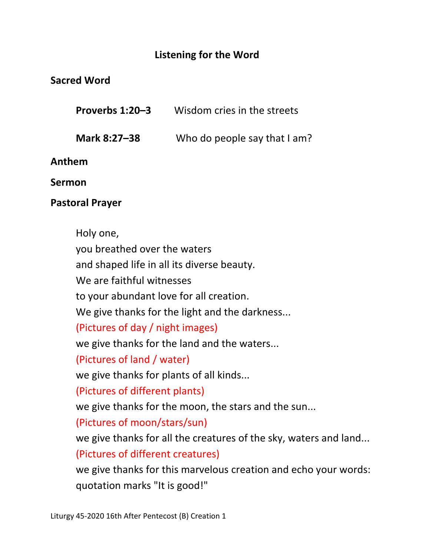# **Listening for the Word**

## **Sacred Word**

| Proverbs 1:20-3 | Wisdom cries in the streets |
|-----------------|-----------------------------|
|                 |                             |

**Mark 8:27–38** Who do people say that I am?

**Anthem**

**Sermon** 

## **Pastoral Prayer**

Holy one, you breathed over the waters and shaped life in all its diverse beauty. We are faithful witnesses to your abundant love for all creation. We give thanks for the light and the darkness... (Pictures of day / night images) we give thanks for the land and the waters... (Pictures of land / water) we give thanks for plants of all kinds... (Pictures of different plants) we give thanks for the moon, the stars and the sun... (Pictures of moon/stars/sun) we give thanks for all the creatures of the sky, waters and land... (Pictures of different creatures) we give thanks for this marvelous creation and echo your words: quotation marks "It is good!"